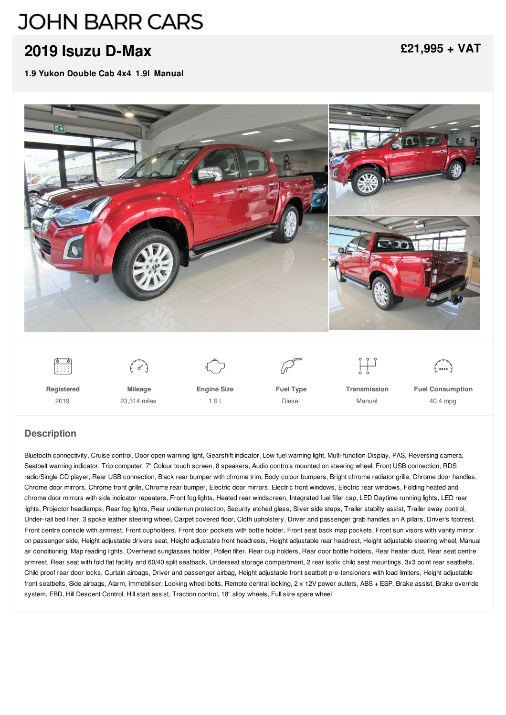# **JOHN BARR CARS**

## **2019 Isuzu [D-Max](/used-pickups/pdf/)**

**1.9 Yukon Double Cab 4x4 1.9l Manual**

**[£21,995](/used-pickups/pdf/) + VAT**



#### **Description**

Bluetooth connectivity, Cruise control, Door open warning light, Gearshift indicator, Low fuel warning light, Multi-function Display, PAS, Reversing camera, Seatbelt warning indicator, Trip computer, 7" Colour touch screen, 8 speakers, Audio controls mounted on steering wheel, Front USB connection, RDS radio/Single CD player, Rear USB connection, Black rear bumper with chrome trim, Body colour bumpers, Bright chrome radiator grille, Chrome door handles, Chrome door mirrors, Chrome front grille, Chrome rear bumper, Electric door mirrors, Electric front windows, Electric rear windows, Folding heated and chrome door mirrors with side indicator repeaters, Front fog lights, Heated rear windscreen, Integrated fuel filler cap, LED Daytime running lights, LED rear lights, Projector headlamps, Rear fog lights, Rear underrun protection, Security etched glass, Silver side steps, Trailer stabilty assist, Trailer sway control, Under-rail bed liner, 3 spoke leather steering wheel, Carpet covered floor, Cloth upholstery, Driver and passenger grab handles on A pillars, Driver's footrest, Front centre console with armrest, Front cupholders, Front door pockets with bottle holder, Front seat back map pockets, Front sun visors with vanity mirror on passenger side, Height adjustable drivers seat, Height adjustable front headrests, Height adjustable rear headrest, Height adjustable steering wheel, Manual air conditioning, Map reading lights, Overhead sunglasses holder, Pollen filter, Rear cup holders, Rear door bottle holders, Rear heater duct, Rear seat centre armrest, Rear seat with fold flat facility and 60/40 split seatback, Underseat storage compartment, 2 rear isofix child seat mountings, 3x3 point rear seatbelts, Child proof rear door locks, Curtain airbags, Driver and passenger airbag, Height adjustable front seatbelt pre-tensioners with load limiters, Height adjustable front seatbelts, Side airbags, Alarm, Immobiliser, Locking wheel bolts, Remote central locking, 2 x 12V power outlets, ABS + ESP, Brake assist, Brake override system, EBD, Hill Descent Control, Hill start assist, Traction control, 18" alloy wheels, Full size spare wheel